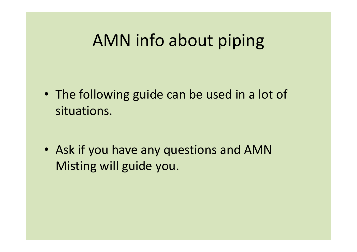## AMN info about piping

- The following guide can be used in a lot of situations.
- Ask if you have any questions and AMN Misting will guide you.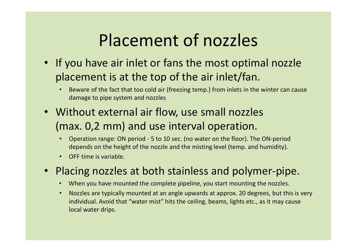# Placement of nozzles

- If you have air inlet or fans the most optimal nozzle<br>• If you have air inlet or fans the most optimal nozzle<br>placement is at the top of the air inlet/fan.<br>• Beware of the fact that too cold air (freezing temp.) from inl placement is at the top of the air inlet/fan. **Placement of nozzles**<br>
f you have air inlet or fans the most optimal nozzle<br>
placement is at the top of the air inlet/fan.<br>
• Beware of the fact that too cold air (freezing temp.) from inlets in the winter can cause<br>
dama **Placement of nozzle:**<br>
You have air inlet or fans the most optin<br>
Coment is at the top of the air inlet/fan<br>
Beware of the fact that too cold air (freezing temp.) from inlets in t<br>
damage to pipe system and nozzles<br>
thout • If you have air inlet or fans the most optimal nozzle<br>
• If you have air inlet or fans the most optimal nozzle<br>
placement is at the top of the air inlet/fan.<br>
• Beware of the fact that too cold air (freezing temp.) from **Placement of nozzles**<br>
f you have air inlet or fans the most optimal nozzle<br>
blacement is at the top of the air inlet/fan.<br>
• Beware of the fact that too cold air (freezing temp.) from inlets in the winter can cause<br>
dama F **Idlefile on fans the most optimal nozzle**<br> **depends on the fact that too cold air (freezing temp.) from inlets in the winter can cause**<br> **damage to pipe system and nozzles**<br> **Without external air flow, use small nozzles** 
	-
- (max. 0,2 mm) and use interval operation.
	-
	-
- -
- Placement is at the top of the air inlet/fan.<br>
 Beware of the fact that too cold air (freezing temp.) from inlets in the winter can cause<br>
damage to pipe system and nozzles<br>
 Without external air flow, use small nozzle individual. Avoid that "water mist" hits the ceiling, beams, lights etc., as it may cause local water drips.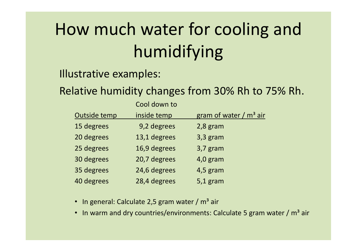# How much water for cooling and humidifying **How much water for cooling and<br>
humidifying<br>
Illustrative examples:<br>
Relative humidity changes from 30% Rh to 75% Rh.<br>
COOL down to<br>
<u>Outside temp inside temp</u> gram of water / m<sup>3</sup> air Water for cooling and<br>humidifying**<br>pples:<br>ty changes from 30% Rh to 75% Rh.<br>cool down to<br>inside temp gram of water / m<sup>3</sup> air<br>9,2 degrees 2,8 gram **10 W much water for cooling and<br>
humidifying**<br>
strative examples:<br>
ative humidity changes from 30% Rh to 75% Rh.<br>
Cool down to<br>
<u>Outside temp inside temp gram of water / m<sup>3</sup> air<br>
15 degrees 3,2 degrees 3,3 gram<br>
28 degr</u>

Illustrative examples:

|                            |                                                   | ow much water for cooling and                                                       |  |
|----------------------------|---------------------------------------------------|-------------------------------------------------------------------------------------|--|
| humidifying                |                                                   |                                                                                     |  |
| <b>Istrative examples:</b> |                                                   |                                                                                     |  |
|                            |                                                   | lative humidity changes from 30% Rh to 75% Rh.                                      |  |
|                            | Cool down to                                      |                                                                                     |  |
| Outside temp               | inside temp                                       | gram of water / m <sup>3</sup> air                                                  |  |
| 15 degrees                 | 9,2 degrees                                       | $2,8$ gram                                                                          |  |
| 20 degrees                 | 13,1 degrees                                      | $3,3$ gram                                                                          |  |
| 25 degrees                 | 16,9 degrees                                      | $3,7$ gram                                                                          |  |
| 30 degrees                 | 20,7 degrees                                      | $4,0$ gram                                                                          |  |
| 35 degrees                 | 24,6 degrees                                      | $4,5$ gram                                                                          |  |
| 40 degrees                 | 28,4 degrees                                      | $5,1$ gram                                                                          |  |
|                            | • In general: Calculate 2,5 gram water / $m3$ air |                                                                                     |  |
|                            |                                                   | In warm and dry countries/environments: Calculate 5 gram water / m <sup>3</sup> air |  |
|                            |                                                   |                                                                                     |  |
|                            |                                                   |                                                                                     |  |
|                            |                                                   |                                                                                     |  |

- 
-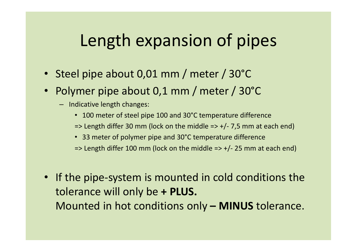# Length expansion of pipes **Length expansion of pipes**<br>• Steel pipe about 0,01 mm / meter / 30°C<br>• Polymer pipe about 0,1 mm / meter / 30°C<br><sup>– Indicative length changes:</sub></sup> **Length expansion of pipes**<br>• Steel pipe about 0,01 mm / meter / 30°C<br>• Polymer pipe about 0,1 mm / meter / 30°C<br>– Indicative length changes:<br>• 100 meter of steel pipe 100 and 30°C temperature difference<br> $\Rightarrow$  23 meter of **Length expansion of pipes**<br>
• 1 pipe about 0,01 mm / meter / 30°C<br>
• 100 meter of steel pipe 100 and 30°C temperature difference<br>
• 100 meter of steel pipe 100 and 30°C temperature difference<br>
• 33 meter of polymer pipe Length expansion of pipes<br>
Il pipe about 0,01 mm / meter / 30°C<br>
There pipe about 0,1 mm / meter / 30°C<br>
dicative length changes:<br>
• 100 meter of stel pipe 100 and 30°C temperature difference<br>
• 33 meter of polymer pipe a **Length expansion of pipes**<br>
• 1 pipe about 0,01 mm / meter / 30°C<br>
• There pipe about 0,1 mm / meter / 30°C<br>
• dicative length changes:<br>
• 100 meter of steel pipe 100 and 30°C temperature difference<br>
• stength differ 30

- 
- Example 11 CX parts 30 Mm / meter / 30°C<br>
19 pipe about 0,01 mm / meter / 30°C<br>
19 mer pipe about 0,1 mm / meter / 30°C<br>
19 dicative length changes:<br>
100 meter of steel pipe 100 and 30°C temperature difference<br>
100 meter
	- -
		-
		-
		-
- **Polymer pipe about 0,01 mm** / meter / 30 C<br>
 **Polymer pipe about 0,1 mm** / meter / 30°C<br>
 Indicative length changes:<br>
 100 meter of steel pipe 100 and 30°C temperature difference<br>  $\Rightarrow$  Length differ 30 mm (lock on t Polymer pipe about 0,1 mm / meter / 30°C<br>
- Indicative length changes:<br>
• 100 meter of steel pipe 100 and 30°C temperature difference<br>
=> Length differ 30 mm (lock on the middle => +/- 7,5 mm at each e<br>
• 33 meter of poly - Indicative length changes:<br>
• 100 meter of steel pipe 100 and 30°C temperature difference<br>  $\Rightarrow$  Length differ 30 mm (lock on the middle  $\Rightarrow$  +/- 7,5 mm at each end)<br>
• 33 meter of polymer pipe and 30°C temperature diffe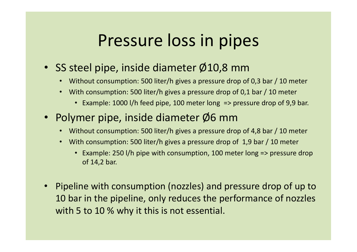### Pressure loss in pipes

- SS steel pipe, inside diameter Ø10,8 mm
	- Without consumption: 500 liter/h gives a pressure drop of 0,3 bar / 10 meter
	- With consumption: 500 liter/h gives a pressure drop of 0,1 bar / 10 meter
		- Example: 1000 l/h feed pipe, 100 meter long => pressure drop of 9,9 bar.
- Polymer pipe, inside diameter Ø6 mm
	- Without consumption: 500 liter/h gives a pressure drop of 4,8 bar / 10 meter
	- With consumption: 500 liter/h gives a pressure drop of 1,9 bar / 10 meter
		- Example: 250 l/h pipe with consumption, 100 meter long => pressure drop of 14,2 bar.
- Pipeline with consumption (nozzles) and pressure drop of up to 10 bar in the pipeline, only reduces the performance of nozzles with 5 to 10 % why it this is not essential.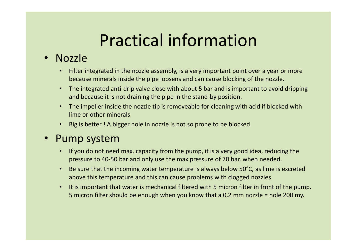# Practical information

#### • Nozzle

- Filter integrated in the nozzle assembly, is a very important point over a year or more because minerals inside the pipe loosens and can cause blocking of the nozzle.
- The integrated anti-drip valve close with about 5 bar and is important to avoid dripping and because it is not draining the pipe in the stand-by position.
- The impeller inside the nozzle tip is removeable for cleaning with acid if blocked with lime or other minerals.
- Big is better ! A bigger hole in nozzle is not so prone to be blocked.

#### • Pump system

- If you do not need max. capacity from the pump, it is a very good idea, reducing the pressure to 40-50 bar and only use the max pressure of 70 bar, when needed.
- Be sure that the incoming water temperature is always below 50°C, as lime is excreted above this temperature and this can cause problems with clogged nozzles.
- The integrated anti-drip valve close with about 5 bar and is important to avoid dripping<br>
 The impeller inside the nozzle tip is removeable for cleaning with acid if blocked with<br>
 Ime or other minerals.<br>
 Big is bett Frame and because it is not draining the pipe in the stand-by position.<br>
The impeller inside the nozzle tip is removeable for cleaning with acid if blocked with<br>
lime or other minerals.<br>
Big is better ! A bigger hole in no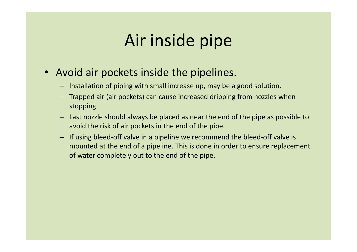# Air inside pipe

- Avoid air pockets inside the pipelines.
	- Installation of piping with small increase up, may be a good solution.
	- Trapped air (air pockets) can cause increased dripping from nozzles when stopping.
	- Last nozzle should always be placed as near the end of the pipe as possible to avoid the risk of air pockets in the end of the pipe.
	- If using bleed-off valve in a pipeline we recommend the bleed-off valve is mounted at the end of a pipeline. This is done in order to ensure replacement of water completely out to the end of the pipe.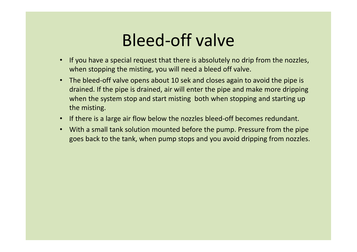# Bleed-off valve

- If you have a special request that there is absolutely no drip from the nozzles, when stopping the misting, you will need a bleed off valve.
- The bleed-off valve opens about 10 sek and closes again to avoid the pipe is drained. If the pipe is drained, air will enter the pipe and make more dripping when the system stop and start misting both when stopping and starting up the misting.
- If there is a large air flow below the nozzles bleed-off becomes redundant.
- With a small tank solution mounted before the pump. Pressure from the pipe goes back to the tank, when pump stops and you avoid dripping from nozzles.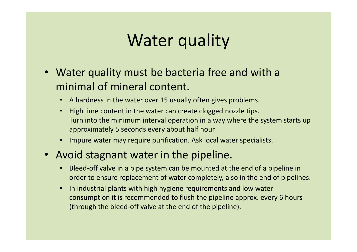# Water quality

- Water quality must be bacteria free and with a minimal of mineral content.
	- A hardness in the water over 15 usually often gives problems.
	- High lime content in the water can create clogged nozzle tips. Turn into the minimum interval operation in a way where the system starts up approximately 5 seconds every about half hour.
	- Impure water may require purification. Ask local water specialists.
- Avoid stagnant water in the pipeline.
	- Bleed-off valve in a pipe system can be mounted at the end of a pipeline in order to ensure replacement of water completely, also in the end of pipelines.
	- In industrial plants with high hygiene requirements and low water consumption it is recommended to flush the pipeline approx. every 6 hours (through the bleed-off valve at the end of the pipeline).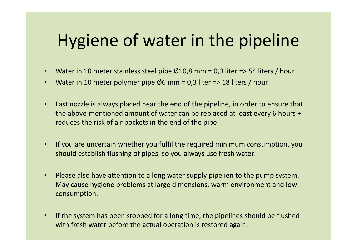# Hygiene of water in the pipeline Hygiene of water in the pipeline<br>• Water in 10 meter stainless steel pipe  $\emptyset$ 10,8 mm = 0,9 liter => 54 liters / hour<br>• Water in 10 meter polymer pipe  $\emptyset$ 6 mm = 0,3 liter => 18 liters / hour Hygiene of water in the pipeline<br>• Water in 10 meter stainless steel pipe Ø10,8 mm = 0,9 liter => 54 liters / hour<br>• Water in 10 meter polymer pipe Ø6 mm = 0,3 liter => 18 liters / hour<br>• Last nozzle is always placed near

- 
- 
- Last nozzle is always placed near the end of the pipeline, in order to ensure that the above-mentioned amount of water can be replaced at least every 6 hours + reduces the risk of air pockets in the end of the pipe.
- If you are uncertain whether you fulfil the required minimum consumption, you should establish flushing of pipes, so you always use fresh water.
- Please also have attention to a long water supply pipelien to the pump system. May cause hygiene problems at large dimensions, warm environment and low consumption.
- If the system has been stopped for a long time, the pipelines should be flushed with fresh water before the actual operation is restored again.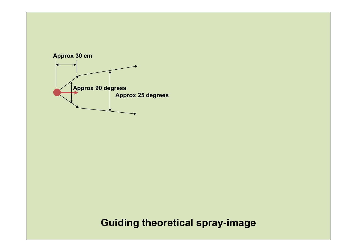

Guiding theoretical spray-image